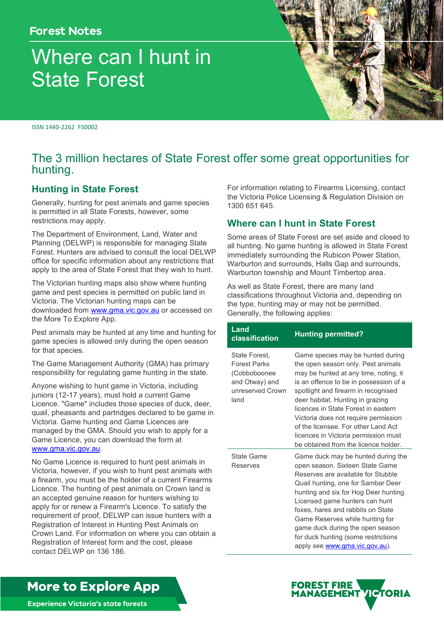# **Forest Notes**

# Where can I hunt in State Forest

ISSN 1440-2262 FS0002

# The 3 million hectares of State Forest offer some great opportunities for hunting.

# **Hunting in State Forest**

Generally, hunting for pest animals and game species is permitted in all State Forests, however, some restrictions may apply.

The Department of Environment, Land, Water and Planning (DELWP) is responsible for managing State Forest. Hunters are advised to consult the local DELWP office for specific information about any restrictions that apply to the area of State Forest that they wish to hunt.

The Victorian hunting maps also show where hunting game and pest species is permitted on public land in Victoria. The Victorian hunting maps can be downloaded from [www.gma.vic.gov.au](http://www.gma.vic.gov.au/) or accessed on the More To Explore App.

Pest animals may be hunted at any time and hunting for game species is allowed only during the open season for that species.

The Game Management Authority (GMA) has primary responsibility for regulating game hunting in the state.

Anyone wishing to hunt game in Victoria, including juniors (12-17 years), must hold a current Game Licence. "Game" includes those species of duck, deer, quail, pheasants and partridges declared to be game in Victoria. Game hunting and Game Licences are managed by the GMA. Should you wish to apply for a Game Licence, you can download the form at [www.gma.vic.gov.au.](http://www.gma.vic.gov.au/)

No Game Licence is required to hunt pest animals in Victoria, however, if you wish to hunt pest animals with a firearm, you must be the holder of a current Firearms Licence. The hunting of pest animals on Crown land is an accepted genuine reason for hunters wishing to apply for or renew a Firearm's Licence. To satisfy the requirement of proof, DELWP can issue hunters with a Registration of Interest in Hunting Pest Animals on Crown Land. For information on where you can obtain a Registration of Interest form and the cost, please contact DELWP on 136 186.

For information relating to Firearms Licensing, contact the Victoria Police Licensing & Regulation Division on [1300 651 645.](tel:1300651645)

## **Where can I hunt in State Forest**

Some areas of State Forest are set aside and closed to all hunting. No game hunting is allowed in State Forest immediately surrounding the Rubicon Power Station, Warburton and surrounds, Halls Gap and surrounds, Warburton township and Mount Timbertop area.

As well as State Forest, there are many land classifications throughout Victoria and, depending on the type, hunting may or may not be permitted. Generally, the following applies:

| Land<br>classification                                                                             | <b>Hunting permitted?</b>                                                                                                                                                                                                                                                                                                                                                                                                                   |
|----------------------------------------------------------------------------------------------------|---------------------------------------------------------------------------------------------------------------------------------------------------------------------------------------------------------------------------------------------------------------------------------------------------------------------------------------------------------------------------------------------------------------------------------------------|
| State Forest.<br><b>Forest Parks</b><br>(Cobboboonee<br>and Otway) and<br>unreserved Crown<br>land | Game species may be hunted during<br>the open season only. Pest animals<br>may be hunted at any time, noting, it<br>is an offence to be in possession of a<br>spotlight and firearm in recognised<br>deer habitat. Hunting in grazing<br>licences in State Forest in eastern<br>Victoria does not require permission<br>of the licensee. For other Land Act<br>licences in Victoria permission must<br>be obtained from the licence holder. |
| <b>State Game</b><br>Reserves                                                                      | Game duck may be hunted during the<br>open season. Sixteen State Game<br>Reserves are available for Stubble<br>Quail hunting, one for Sambar Deer<br>hunting and six for Hog Deer hunting.<br>Licensed game hunters can hunt<br>foxes, hares and rabbits on State<br>Game Reserves while hunting for<br>game duck during the open season<br>for duck hunting (some restrictions<br>apply see www.gma.vic.gov.au).                           |

**More to Explore App** 



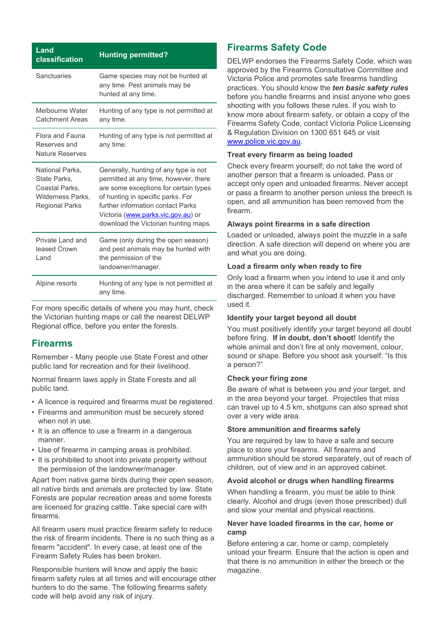| Land<br>classification                                                                          | <b>Hunting permitted?</b>                                                                                                                                                                                                                                                       |
|-------------------------------------------------------------------------------------------------|---------------------------------------------------------------------------------------------------------------------------------------------------------------------------------------------------------------------------------------------------------------------------------|
| Sanctuaries                                                                                     | Game species may not be hunted at<br>any time. Pest animals may be<br>hunted at any time.                                                                                                                                                                                       |
| Melbourne Water<br><b>Catchment Areas</b>                                                       | Hunting of any type is not permitted at<br>any time.                                                                                                                                                                                                                            |
| Flora and Fauna<br>Reserves and<br><b>Nature Reserves</b>                                       | Hunting of any type is not permitted at<br>any time.                                                                                                                                                                                                                            |
| National Parks,<br>State Parks.<br>Coastal Parks.<br>Wilderness Parks,<br><b>Regional Parks</b> | Generally, hunting of any type is not<br>permitted at any time, however, there<br>are some exceptions for certain types<br>of hunting in specific parks. For<br>further information contact Parks<br>Victoria (www.parks.vic.gov.au) or<br>download the Victorian hunting maps. |
| Private I and and<br>leased Crown<br>Land                                                       | Game (only during the open season)<br>and pest animals may be hunted with<br>the permission of the<br>landowner/manager.                                                                                                                                                        |
| Alpine resorts                                                                                  | Hunting of any type is not permitted at<br>any time.                                                                                                                                                                                                                            |

For more specific details of where you may hunt, check the Victorian hunting maps or call the nearest DELWP Regional office, before you enter the forests.

## **Firearms**

Remember - Many people use State Forest and other public land for recreation and for their livelihood.

Normal firearm laws apply in State Forests and all public land.

- A licence is required and firearms must be registered.
- Firearms and ammunition must be securely stored when not in use.
- It is an offence to use a firearm in a dangerous manner.
- Use of firearms in camping areas is prohibited.
- It is prohibited to shoot into private property without the permission of the landowner/manager.

Apart from native game birds during their open season, all native birds and animals are protected by law. State Forests are popular recreation areas and some forests are licensed for grazing cattle. Take special care with firearms.

All firearm users must practice firearm safety to reduce the risk of firearm incidents. There is no such thing as a firearm "accident". In every case, at least one of the Firearm Safety Rules has been broken.

Responsible hunters will know and apply the basic firearm safety rules at all times and will encourage other hunters to do the same. The following firearms safety code will help avoid any risk of injury.

# **Firearms Safety Code**

DELWP endorses the Firearms Safety Code, which was approved by the Firearms Consultative Committee and Victoria Police and promotes safe firearms handling practices. You should know the *ten basic safety rules*  before you handle firearms and insist anyone who goes shooting with you follows these rules. If you wish to know more about firearm safety, or obtain a copy of the Firearms Safety Code, contact Victoria Police Licensing & Regulation Division on [1300 651 645](tel:1300651645) or visit [www.police.vic.gov.au.](http://www.police.vic.gov.au/)

#### **Treat every firearm as being loaded**

Check every firearm yourself; do not take the word of another person that a firearm is unloaded. Pass or accept only open and unloaded firearms. Never accept or pass a firearm to another person unless the breech is open, and all ammunition has been removed from the firearm.

#### **Always point firearms in a safe direction**

Loaded or unloaded, always point the muzzle in a safe direction. A safe direction will depend on where you are and what you are doing.

#### **Load a firearm only when ready to fire**

Only load a firearm when you intend to use it and only in the area where it can be safely and legally discharged. Remember to unload it when you have used it.

#### **Identify your target beyond all doubt**

You must positively identify your target beyond all doubt before firing. **If in doubt, don't shoot!** Identify the whole animal and don't fire at only movement, colour, sound or shape. Before you shoot ask yourself: "Is this a person?"

#### **Check your firing zone**

Be aware of what is between you and your target, and in the area beyond your target. Projectiles that miss can travel up to 4.5 km, shotguns can also spread shot over a very wide area.

#### **Store ammunition and firearms safely**

You are required by law to have a safe and secure place to store your firearms. All firearms and ammunition should be stored separately, out of reach of children, out of view and in an approved cabinet.

#### **Avoid alcohol or drugs when handling firearms**

When handling a firearm, you must be able to think clearly. Alcohol and drugs (even those prescribed) dull and slow your mental and physical reactions.

#### **Never have loaded firearms in the car, home or camp**

Before entering a car, home or camp, completely unload your firearm. Ensure that the action is open and that there is no ammunition in either the breech or the magazine.